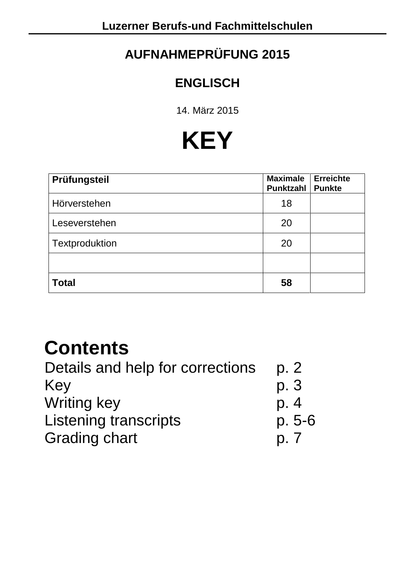## **AUFNAHMEPRÜFUNG 2015**

### **ENGLISCH**

14. März 2015

# **KEY**

| Prüfungsteil   | <b>Maximale</b><br><b>Punktzahl</b> | <b>Erreichte</b><br><b>Punkte</b> |
|----------------|-------------------------------------|-----------------------------------|
| Hörverstehen   | 18                                  |                                   |
| Leseverstehen  | 20                                  |                                   |
| Textproduktion | 20                                  |                                   |
|                |                                     |                                   |
| <b>Total</b>   | 58                                  |                                   |

# **Contents**

| Details and help for corrections | p. 2   |
|----------------------------------|--------|
| Key                              | p. 3   |
| <b>Writing key</b>               | p. 4   |
| <b>Listening transcripts</b>     | p. 5-6 |
| <b>Grading chart</b>             | D, 7   |
|                                  |        |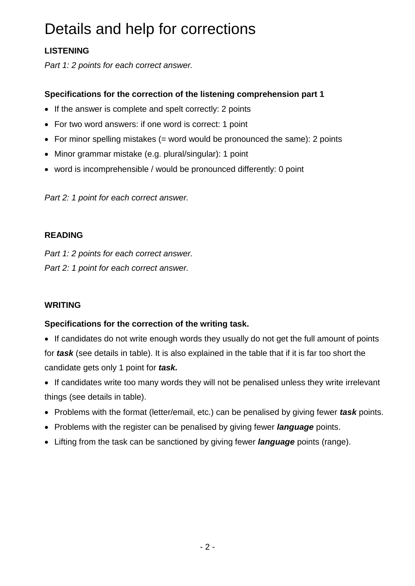# Details and help for corrections

#### **LISTENING**

*Part 1: 2 points for each correct answer.* 

#### **Specifications for the correction of the listening comprehension part 1**

- If the answer is complete and spelt correctly: 2 points
- For two word answers: if one word is correct: 1 point
- For minor spelling mistakes  $(=$  word would be pronounced the same): 2 points
- Minor grammar mistake (e.g. plural/singular): 1 point
- word is incomprehensible / would be pronounced differently: 0 point

*Part 2: 1 point for each correct answer.* 

#### **READING**

*Part 1: 2 points for each correct answer. Part 2: 1 point for each correct answer.* 

#### **WRITING**

#### **Specifications for the correction of the writing task.**

• If candidates do not write enough words they usually do not get the full amount of points for *task* (see details in table). It is also explained in the table that if it is far too short the candidate gets only 1 point for *task.* 

- If candidates write too many words they will not be penalised unless they write irrelevant things (see details in table).
- Problems with the format (letter/email, etc.) can be penalised by giving fewer *task* points.
- Problems with the register can be penalised by giving fewer *language* points.
- Lifting from the task can be sanctioned by giving fewer *language* points (range).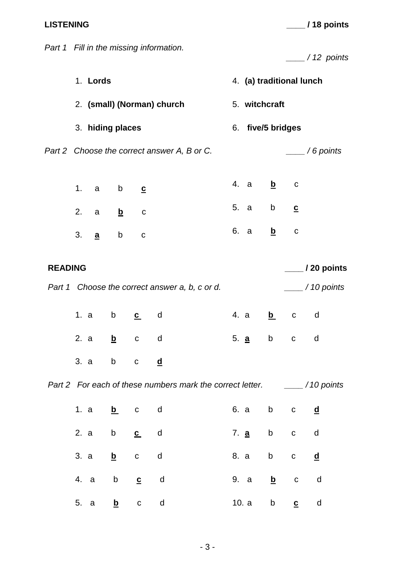**LISTENING \_\_\_\_ / 18 points**

|                |                                             |          |                   |                | Part 1 Fill in the missing information.        |                          |                   |                                                                                                                                                                                                                                |                          | $\frac{1}{2}$ / 12 points |  |  |  |
|----------------|---------------------------------------------|----------|-------------------|----------------|------------------------------------------------|--------------------------|-------------------|--------------------------------------------------------------------------------------------------------------------------------------------------------------------------------------------------------------------------------|--------------------------|---------------------------|--|--|--|
|                |                                             | 1. Lords |                   |                |                                                | 4. (a) traditional lunch |                   |                                                                                                                                                                                                                                |                          |                           |  |  |  |
|                |                                             |          |                   |                | 2. (small) (Norman) church                     |                          | 5. witchcraft     |                                                                                                                                                                                                                                |                          |                           |  |  |  |
|                |                                             |          | 3. hiding places  |                |                                                |                          | 6. five/5 bridges |                                                                                                                                                                                                                                |                          |                           |  |  |  |
|                | Part 2 Choose the correct answer A, B or C. |          |                   |                |                                                |                          |                   |                                                                                                                                                                                                                                |                          | $\frac{1}{1}$ / 6 points  |  |  |  |
|                | 1.                                          |          | a b               | $\overline{c}$ |                                                |                          | 4. a              | <u>b</u>                                                                                                                                                                                                                       | $\mathbf C$              |                           |  |  |  |
|                | 2.                                          |          | a <u>b</u>        | $\mathbf C$    |                                                |                          | 5. a              |                                                                                                                                                                                                                                |                          |                           |  |  |  |
|                |                                             | 3. a     | $b \qquad \qquad$ | $\mathbf C$    |                                                |                          | 6. a              | $\overline{\mathbf{p}}$                                                                                                                                                                                                        | $\mathbf C$              |                           |  |  |  |
| <b>READING</b> |                                             |          |                   |                |                                                |                          |                   | $\frac{1}{20}$ points                                                                                                                                                                                                          |                          |                           |  |  |  |
|                |                                             |          |                   |                | Part 1 Choose the correct answer a, b, c or d. |                          |                   |                                                                                                                                                                                                                                |                          | $\frac{1}{2}$ / 10 points |  |  |  |
|                |                                             | 1. a     |                   | b c d          |                                                |                          | 4. a              |                                                                                                                                                                                                                                | b c d                    |                           |  |  |  |
|                |                                             | 2. a     | $\mathbf{b}$      | $\mathbf{C}$   | d                                              |                          | 5. <u>a</u>       | b and the state of the state of the state of the state of the state of the state of the state of the state of the state of the state of the state of the state of the state of the state of the state of the state of the stat | $\mathbf C$              | d                         |  |  |  |
|                |                                             | 3. a     |                   |                |                                                |                          |                   |                                                                                                                                                                                                                                |                          |                           |  |  |  |
|                |                                             |          |                   |                |                                                |                          |                   |                                                                                                                                                                                                                                |                          |                           |  |  |  |
|                |                                             |          | 1. a <u>b</u>     | $\mathbf{C}$   | d                                              |                          | 6. a              |                                                                                                                                                                                                                                | b c                      | <u>d</u>                  |  |  |  |
|                |                                             |          | 2. a b $c$        |                | d                                              |                          |                   |                                                                                                                                                                                                                                | 7. <u>a</u> b c          | d                         |  |  |  |
|                |                                             | 3. a     |                   | $\mathbf{b}$ c | d                                              |                          | 8. a              | $\mathsf{b}$                                                                                                                                                                                                                   | $\mathbf{C}$             | <u>d</u>                  |  |  |  |
|                | 4. a                                        |          |                   | b <b>c</b> d   |                                                |                          | 9. a              | $\mathbf{b}$ c                                                                                                                                                                                                                 |                          | d                         |  |  |  |
|                | 5. a                                        |          | <u>b</u>          | $\mathbf{C}$   | d                                              |                          | 10. a             | b and the state of the state of the state of the state of the state of the state of the state of the state of the state of the state of the state of the state of the state of the state of the state of the state of the stat | $\underline{\mathbf{c}}$ | d                         |  |  |  |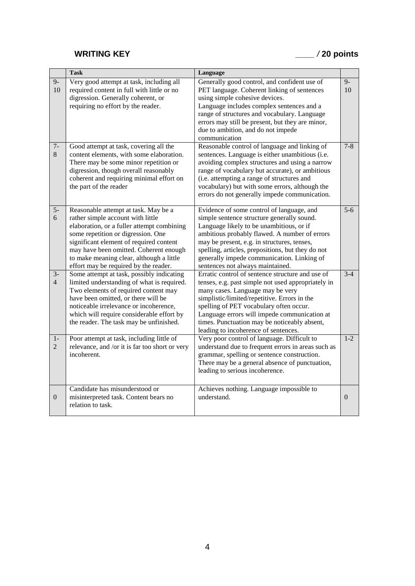### **WRITING KEY** *\_\_\_\_ /* **20 points**

|                        | <b>Task</b>                                                                                                                                                                                                                                                                                                                             | Language                                                                                                                                                                                                                                                                                                                                                                      |                  |
|------------------------|-----------------------------------------------------------------------------------------------------------------------------------------------------------------------------------------------------------------------------------------------------------------------------------------------------------------------------------------|-------------------------------------------------------------------------------------------------------------------------------------------------------------------------------------------------------------------------------------------------------------------------------------------------------------------------------------------------------------------------------|------------------|
| $9-$<br>10             | Very good attempt at task, including all<br>required content in full with little or no<br>digression. Generally coherent, or<br>requiring no effort by the reader.                                                                                                                                                                      | Generally good control, and confident use of<br>PET language. Coherent linking of sentences<br>using simple cohesive devices.<br>Language includes complex sentences and a<br>range of structures and vocabulary. Language<br>errors may still be present, but they are minor,<br>due to ambition, and do not impede<br>communication                                         | $9 -$<br>10      |
| $7-$<br>8              | Good attempt at task, covering all the<br>content elements, with some elaboration.<br>There may be some minor repetition or<br>digression, though overall reasonably<br>coherent and requiring minimal effort on<br>the part of the reader                                                                                              | Reasonable control of language and linking of<br>sentences. Language is either unambitious (i.e.<br>avoiding complex structures and using a narrow<br>range of vocabulary but accurate), or ambitious<br>(i.e. attempting a range of structures and<br>vocabulary) but with some errors, although the<br>errors do not generally impede communication.                        | $7 - 8$          |
| $\overline{5}$<br>6    | Reasonable attempt at task. May be a<br>rather simple account with little<br>elaboration, or a fuller attempt combining<br>some repetition or digression. One<br>significant element of required content<br>may have been omitted. Coherent enough<br>to make meaning clear, although a little<br>effort may be required by the reader. | Evidence of some control of language, and<br>simple sentence structure generally sound.<br>Language likely to be unambitious, or if<br>ambitious probably flawed. A number of errors<br>may be present, e.g. in structures, tenses,<br>spelling, articles, prepositions, but they do not<br>generally impede communication. Linking of<br>sentences not always maintained.    | $\overline{5-6}$ |
| $3-$<br>$\overline{4}$ | Some attempt at task, possibly indicating<br>limited understanding of what is required.<br>Two elements of required content may<br>have been omitted, or there will be<br>noticeable irrelevance or incoherence,<br>which will require considerable effort by<br>the reader. The task may be unfinished.                                | Erratic control of sentence structure and use of<br>tenses, e.g. past simple not used appropriately in<br>many cases. Language may be very<br>simplistic/limited/repetitive. Errors in the<br>spelling of PET vocabulary often occur.<br>Language errors will impede communication at<br>times. Punctuation may be noticeably absent,<br>leading to incoherence of sentences. | $3-4$            |
| $1-$<br>$\overline{2}$ | Poor attempt at task, including little of<br>relevance, and /or it is far too short or very<br>incoherent.                                                                                                                                                                                                                              | Very poor control of language. Difficult to<br>understand due to frequent errors in areas such as<br>grammar, spelling or sentence construction.<br>There may be a general absence of punctuation,<br>leading to serious incoherence.                                                                                                                                         | $1 - 2$          |
| $\mathbf{0}$           | Candidate has misunderstood or<br>misinterpreted task. Content bears no<br>relation to task.                                                                                                                                                                                                                                            | Achieves nothing. Language impossible to<br>understand.                                                                                                                                                                                                                                                                                                                       | $\overline{0}$   |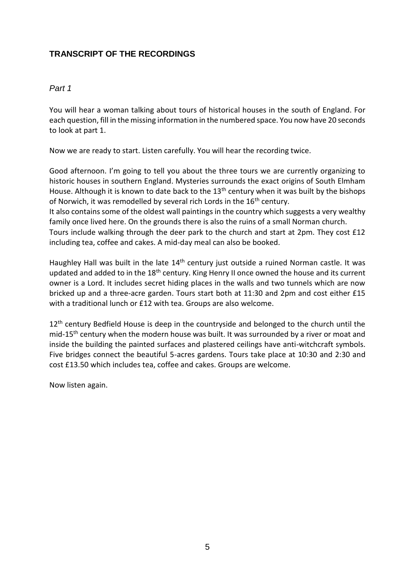#### **TRANSCRIPT OF THE RECORDINGS**

#### *Part 1*

You will hear a woman talking about tours of historical houses in the south of England. For each question, fill in the missing information in the numbered space. You now have 20 seconds to look at part 1.

Now we are ready to start. Listen carefully. You will hear the recording twice.

Good afternoon. I'm going to tell you about the three tours we are currently organizing to historic houses in southern England. Mysteries surrounds the exact origins of South Elmham House. Although it is known to date back to the 13<sup>th</sup> century when it was built by the bishops of Norwich, it was remodelled by several rich Lords in the 16<sup>th</sup> century.

It also contains some of the oldest wall paintings in the country which suggests a very wealthy family once lived here. On the grounds there is also the ruins of a small Norman church.

Tours include walking through the deer park to the church and start at 2pm. They cost £12 including tea, coffee and cakes. A mid-day meal can also be booked.

Haughley Hall was built in the late 14<sup>th</sup> century just outside a ruined Norman castle. It was updated and added to in the 18<sup>th</sup> century. King Henry II once owned the house and its current owner is a Lord. It includes secret hiding places in the walls and two tunnels which are now bricked up and a three-acre garden. Tours start both at 11:30 and 2pm and cost either £15 with a traditional lunch or £12 with tea. Groups are also welcome.

 $12<sup>th</sup>$  century Bedfield House is deep in the countryside and belonged to the church until the mid-15<sup>th</sup> century when the modern house was built. It was surrounded by a river or moat and inside the building the painted surfaces and plastered ceilings have anti-witchcraft symbols. Five bridges connect the beautiful 5-acres gardens. Tours take place at 10:30 and 2:30 and cost £13.50 which includes tea, coffee and cakes. Groups are welcome.

Now listen again.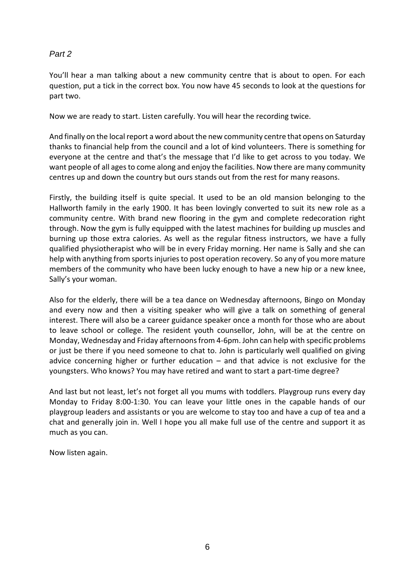#### *Part 2*

You'll hear a man talking about a new community centre that is about to open. For each question, put a tick in the correct box. You now have 45 seconds to look at the questions for part two.

Now we are ready to start. Listen carefully. You will hear the recording twice.

And finally on the local report a word about the new community centre that opens on Saturday thanks to financial help from the council and a lot of kind volunteers. There is something for everyone at the centre and that's the message that I'd like to get across to you today. We want people of all ages to come along and enjoy the facilities. Now there are many community centres up and down the country but ours stands out from the rest for many reasons.

Firstly, the building itself is quite special. It used to be an old mansion belonging to the Hallworth family in the early 1900. It has been lovingly converted to suit its new role as a community centre. With brand new flooring in the gym and complete redecoration right through. Now the gym is fully equipped with the latest machines for building up muscles and burning up those extra calories. As well as the regular fitness instructors, we have a fully qualified physiotherapist who will be in every Friday morning. Her name is Sally and she can help with anything from sports injuries to post operation recovery. So any of you more mature members of the community who have been lucky enough to have a new hip or a new knee, Sally's your woman.

Also for the elderly, there will be a tea dance on Wednesday afternoons, Bingo on Monday and every now and then a visiting speaker who will give a talk on something of general interest. There will also be a career guidance speaker once a month for those who are about to leave school or college. The resident youth counsellor, John, will be at the centre on Monday, Wednesday and Friday afternoons from 4-6pm. John can help with specific problems or just be there if you need someone to chat to. John is particularly well qualified on giving advice concerning higher or further education  $-$  and that advice is not exclusive for the youngsters. Who knows? You may have retired and want to start a part-time degree?

And last but not least, let's not forget all you mums with toddlers. Playgroup runs every day Monday to Friday 8:00-1:30. You can leave your little ones in the capable hands of our playgroup leaders and assistants or you are welcome to stay too and have a cup of tea and a chat and generally join in. Well I hope you all make full use of the centre and support it as much as you can.

Now listen again.